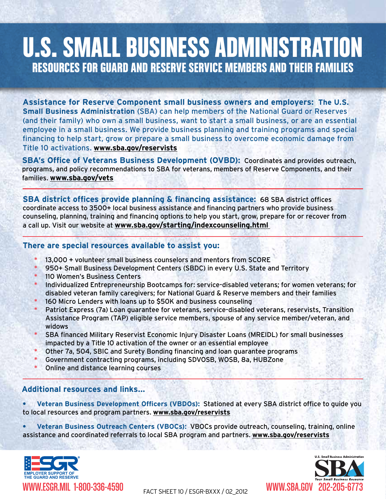## **U.S. SMALL BUSINESS ADMINISTRATION** Resources for Guard and reserve service members and their families

**Assistance for Reserve Component small business owners and employers: The U.S. Small Business Administration** (SBA) can help members of the National Guard or Reserves (and their family) who own a small business, want to start a small business, or are an essential employee in a small business. We provide business planning and training programs and special financing to help start, grow or prepare a small business to overcome economic damage from Title 10 activations. **www.sba.gov/reservists**

**SBA's Office of Veterans Business Development (OVBD):** Coordinates and provides outreach, programs, and policy recommendations to SBA for veterans, members of Reserve Components, and their families. **www.sba.gov/vets**

**SBA district offices provide planning & financing assistance:** 68 SBA district offices coordinate access to 3500+ local business assistance and financing partners who provide business counseling, planning, training and financing options to help you start, grow, prepare for or recover from a call up. Visit our website at **www.sba.gov/starting/indexcounseling.html** 

## **There are special resources available to assist you:**

- 13,000 + volunteer small business counselors and mentors from SCORE
- \* 950+ Small Business Development Centers (SBDC) in every U.S. State and Territory
- 110 Women's Business Centers
- Individualized Entrepreneurship Bootcamps for: service-disabled veterans; for women veterans; for disabled veteran family caregivers; for National Guard & Reserve members and their families
- 160 Micro Lenders with loans up to \$50K and business counseling
- Patriot Express (7a) Loan guarantee for veterans, service-disabled veterans, reservists, Transition Assistance Program (TAP) eligible service members, spouse of any service member/veteran, and widows
- SBA financed Military Reservist Economic Injury Disaster Loans (MREIDL) for small businesses impacted by a Title 10 activation of the owner or an essential employee
- Other 7a, 504, SBIC and Surety Bonding financing and loan guarantee programs
- Government contracting programs, including SDVOSB, WOSB, 8a, HUBZone
- Online and distance learning courses

## **Additional resources and links...**

**• Veteran Business Development Officers (VBDOs):** Stationed at every SBA district office to guide you to local resources and program partners. **www.sba.gov/reservists**

**• Veteran Business Outreach Centers (VBOCs):** VBOCs provide outreach, counseling, training, online assistance and coordinated referrals to local SBA program and partners. **www.sba.gov/reservists**